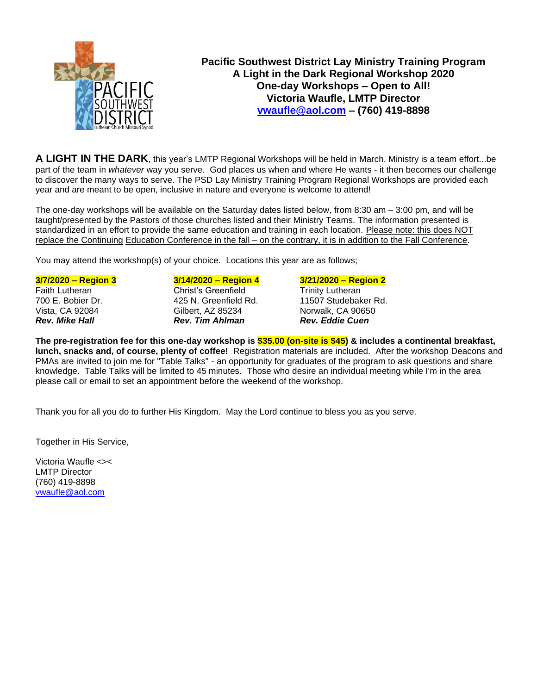

## **Pacific Southwest District Lay Ministry Training Program A Light in the Dark Regional Workshop 2020 One-day Workshops – Open to All! Victoria Waufle, LMTP Director [vwaufle@aol.com](mailto:vwaufle@aol.com) – (760) 419-8898**

**A LIGHT IN THE DARK**, this year's LMTP Regional Workshops will be held in March. Ministry is a team effort...be part of the team in *whatever* way you serve. God places us when and where He wants - it then becomes our challenge to discover the many ways to serve. The PSD Lay Ministry Training Program Regional Workshops are provided each year and are meant to be open, inclusive in nature and everyone is welcome to attend!

The one-day workshops will be available on the Saturday dates listed below, from 8:30 am – 3:00 pm, and will be taught/presented by the Pastors of those churches listed and their Ministry Teams. The information presented is standardized in an effort to provide the same education and training in each location. Please note: this does NOT replace the Continuing Education Conference in the fall – on the contrary, it is in addition to the Fall Conference.

You may attend the workshop(s) of your choice. Locations this year are as follows;

#### **3/7/2020 – Region 3 3/14/2020 – Region 4 3/21/2020 – Region 2**

Faith Lutheran **Christ's Greenfield** Trinity Lutheran 700 E. Bobier Dr. (2015) 425 N. Greenfield Rd. (2015) 700 E.

Vista, CA 92084 Gilbert, AZ 85234 Norwalk, CA 90650 *Rev. Mike Hall Rev. Tim Ahlman Rev. Eddie Cuen*

# 425 N. Greenfield Rd. 11507 Studebaker Rd.

**The pre-registration fee for this one-day workshop is \$35.00 (on-site is \$45) & includes a continental breakfast, lunch, snacks and, of course, plenty of coffee!** Registration materials are included. After the workshop Deacons and PMAs are invited to join me for "Table Talks" - an opportunity for graduates of the program to ask questions and share knowledge. Table Talks will be limited to 45 minutes. Those who desire an individual meeting while I'm in the area please call or email to set an appointment before the weekend of the workshop.

Thank you for all you do to further His Kingdom. May the Lord continue to bless you as you serve.

Together in His Service,

Victoria Waufle <>< LMTP Director (760) 419-8898 [vwaufle@aol.com](mailto:vwaufle@aol.com)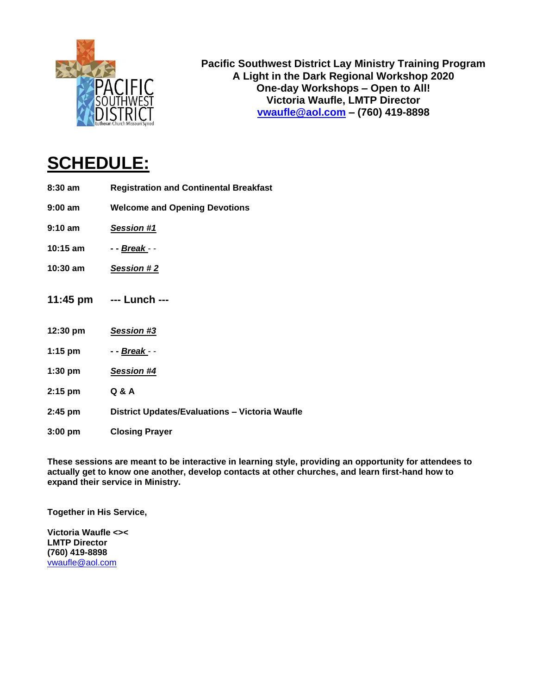

**Pacific Southwest District Lay Ministry Training Program A Light in the Dark Regional Workshop 2020 One-day Workshops – Open to All! Victoria Waufle, LMTP Director [vwaufle@aol.com](mailto:vwaufle@aol.com) – (760) 419-8898**

# **SCHEDULE:**

- **8:30 am Registration and Continental Breakfast**
- **9:00 am Welcome and Opening Devotions**
- **9:10 am** *Session #1*
- **10:15 am - -** *Break*  -
- **10:30 am** *Session # 2*
- **11:45 pm --- Lunch ---**
- **12:30 pm** *Session #3*
- **1:15 pm - -** *Break*  -
- **1:30 pm** *Session #4*
- **2:15 pm Q & A**
- **2:45 pm District Updates/Evaluations – Victoria Waufle**
- **3:00 pm Closing Prayer**

**These sessions are meant to be interactive in learning style, providing an opportunity for attendees to actually get to know one another, develop contacts at other churches, and learn first-hand how to expand their service in Ministry.**

**Together in His Service,**

**Victoria Waufle <>< LMTP Director (760) 419-8898** [vwaufle@aol.com](mailto:vwaufle@aol.com)